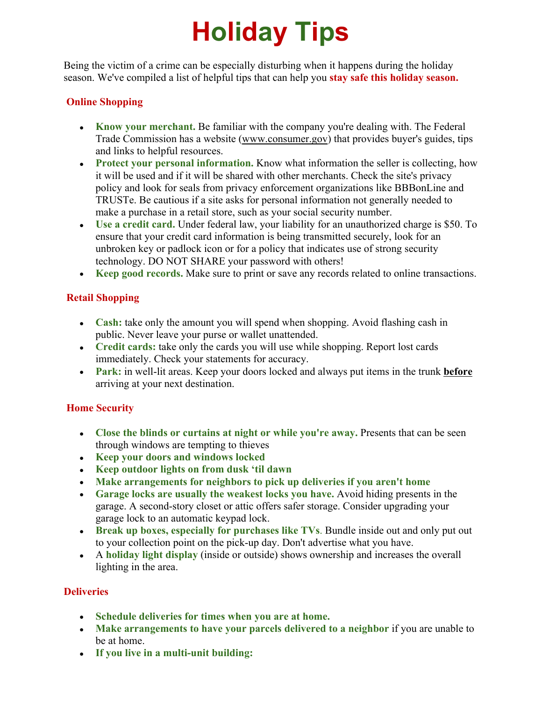# **Holiday Tips**

Being the victim of a crime can be especially disturbing when it happens during the holiday season. We've compiled a list of helpful tips that can help you **stay safe this holiday season.**

# **Online Shopping**

- **Know your merchant.** Be familiar with the company you're dealing with. The Federal Trade Commission has a website ([www.consumer.gov](http://links.govdelivery.com:80/track?type=click&enid=ZWFzPTEmbWFpbGluZ2lkPTIwMTcxMjA3LjgyMDkzNDQxJm1lc3NhZ2VpZD1NREItUFJELUJVTC0yMDE3MTIwNy44MjA5MzQ0MSZkYXRhYmFzZWlkPTEwMDEmc2VyaWFsPTE3MjMxMzYzJmVtYWlsaWQ9amVubmlmZXIud2Fpc2FuZW5AY2kubWlubmVhcG9saXMubW4udXMmdXNlcmlkPWplbm5pZmVyLndhaXNhbmVuQGNpLm1pbm5lYXBvbGlzLm1uLnVzJmZsPSZleHRyYT1NdWx0aXZhcmlhdGVJZD0mJiY=&&&100&&&http://www.consumer.gov/?utm_campaign=p5spotlight5&utm_content=&utm_medium=email&utm_name=&utm_source=govdelivery&utm_term=)) that provides buyer's guides, tips and links to helpful resources.
- **Protect your personal information.** Know what information the seller is collecting, how it will be used and if it will be shared with other merchants. Check the site's privacy policy and look for seals from privacy enforcement organizations like BBBonLine and TRUSTe. Be cautious if a site asks for personal information not generally needed to make a purchase in a retail store, such as your social security number.
- **Use a credit card.** Under federal law, your liability for an unauthorized charge is \$50. To ensure that your credit card information is being transmitted securely, look for an unbroken key or padlock icon or for a policy that indicates use of strong security technology. DO NOT SHARE your password with others!
- **Keep good records.** Make sure to print or save any records related to online transactions.

# **Retail Shopping**

- **Cash:** take only the amount you will spend when shopping. Avoid flashing cash in public. Never leave your purse or wallet unattended.
- **Credit cards:** take only the cards you will use while shopping. Report lost cards immediately. Check your statements for accuracy.
- **Park:** in well-lit areas. Keep your doors locked and always put items in the trunk **before** arriving at your next destination.

# **Home Security**

- **Close the blinds or curtains at night or while you're away.** Presents that can be seen through windows are tempting to thieves
- **Keep your doors and windows locked**
- **Keep outdoor lights on from dusk 'til dawn**
- **Make arrangements for neighbors to pick up deliveries if you aren't home**
- **Garage locks are usually the weakest locks you have.** Avoid hiding presents in the garage. A second-story closet or attic offers safer storage. Consider upgrading your garage lock to an automatic keypad lock.
- **Break up boxes, especially for purchases like TVs**. Bundle inside out and only put out to your collection point on the pick-up day. Don't advertise what you have.
- A **holiday light display** (inside or outside) shows ownership and increases the overall lighting in the area.

# **Deliveries**

- **Schedule deliveries for times when you are at home.**
- **Make arrangements to have your parcels delivered to a neighbor** if you are unable to be at home.
- **If you live in a multi-unit building:**